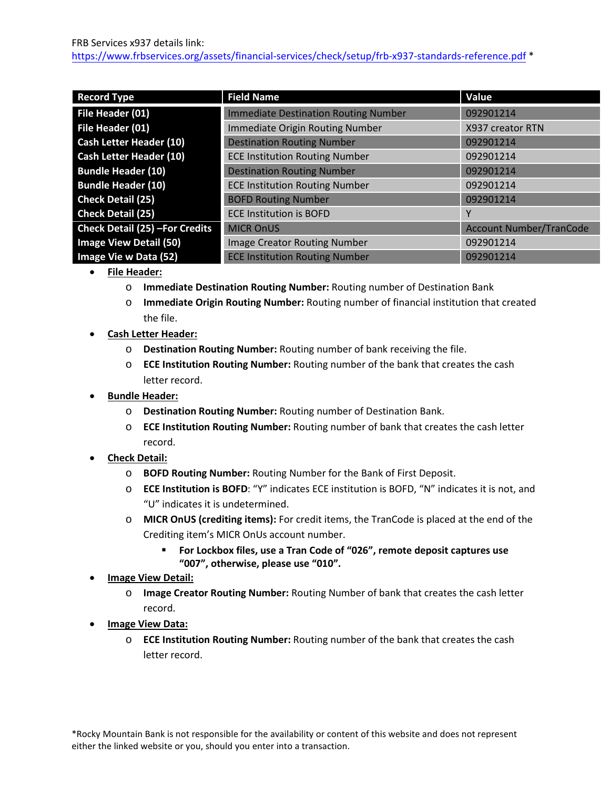| <b>Record Type</b>              | <b>Field Name</b>                           | Value                          |
|---------------------------------|---------------------------------------------|--------------------------------|
| File Header (01)                | <b>Immediate Destination Routing Number</b> | 092901214                      |
| File Header (01)                | <b>Immediate Origin Routing Number</b>      | X937 creator RTN               |
| <b>Cash Letter Header (10)</b>  | <b>Destination Routing Number</b>           | 092901214                      |
| <b>Cash Letter Header (10)</b>  | <b>ECE Institution Routing Number</b>       | 092901214                      |
| <b>Bundle Header (10)</b>       | <b>Destination Routing Number</b>           | 092901214                      |
| <b>Bundle Header (10)</b>       | <b>ECE Institution Routing Number</b>       | 092901214                      |
| <b>Check Detail (25)</b>        | <b>BOFD Routing Number</b>                  | 092901214                      |
| <b>Check Detail (25)</b>        | <b>ECE Institution is BOFD</b>              | Υ                              |
| Check Detail (25) - For Credits | <b>MICR OnUS</b>                            | <b>Account Number/TranCode</b> |
| <b>Image View Detail (50)</b>   | <b>Image Creator Routing Number</b>         | 092901214                      |
| Image Vie w Data (52)           | <b>ECE Institution Routing Number</b>       | 092901214                      |

- **File Header:**
	- o **Immediate Destination Routing Number:** Routing number of Destination Bank
	- o **Immediate Origin Routing Number:** Routing number of financial institution that created the file.
- **Cash Letter Header:**
	- o **Destination Routing Number:** Routing number of bank receiving the file.
	- o **ECE Institution Routing Number:** Routing number of the bank that creates the cash letter record.
- **Bundle Header:**
	- o **Destination Routing Number:** Routing number of Destination Bank.
	- o **ECE Institution Routing Number:** Routing number of bank that creates the cash letter record.
- **Check Detail:**
	- o **BOFD Routing Number:** Routing Number for the Bank of First Deposit.
	- o **ECE Institution is BOFD**: "Y" indicates ECE institution is BOFD, "N" indicates it is not, and "U" indicates it is undetermined.
	- o **MICR OnUS (crediting items):** For credit items, the TranCode is placed at the end of the Crediting item's MICR OnUs account number.
		- **For Lockbox files, use a Tran Code of "026", remote deposit captures use "007", otherwise, please use "010".**
- **Image View Detail:**
	- o **Image Creator Routing Number:** Routing Number of bank that creates the cash letter record.
- **Image View Data:**
	- o **ECE Institution Routing Number:** Routing number of the bank that creates the cash letter record.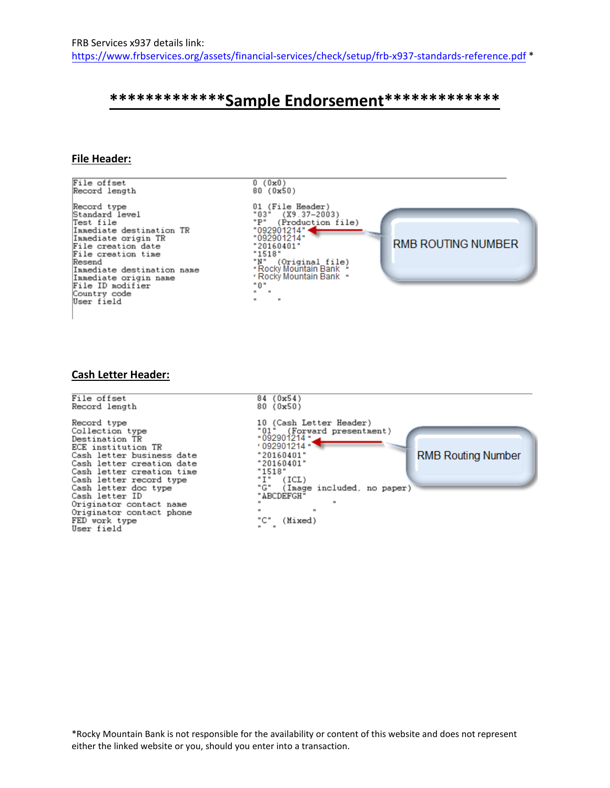# **\*\*\*\*\*\*\*\*\*\*\*\*\*Sample Endorsement\*\*\*\*\*\*\*\*\*\*\*\*\***

## **File Header:**

File offset  $0(0x0)$ Record length  $80 (0x50)$ 01 (File Header)<br>"03" (X9.37-2003)<br>"P" (Production file)<br>"092901214"<br>"092901214" Record type Standard level Test file Immediate destination TR Immediate origin TR **RMB ROUTING NUMBER**  $"20160401"$ File creation date "20160401"<br>"1518"<br>"N" (Original file)<br>"Rocky Mountain Bank "<br>"Rocky Mountain Bank " File creation time Resend Immediate destination name Immediate origin name "0" File ID modifier ΄. Country code  $\cdot$  $\overline{\phantom{a}}$ User field

## **Cash Letter Header:**

84 (0x54) File offset 80 (0x50) Record length 10 (Cash Letter Header)<br>"01" (Forward presentm Record type Collection type "01" (Forward presentment)<br>"092901214" Destination TR ECE institution TR 092901214  $"20160401"$ **RMB Routing Number** Cash letter business date  $"20160401"$ Cash letter creation date  $: 1518"$ Cash letter creation time -15:0<br>"I" (ICL)<br>"G" (Image included, no paper)<br>"ABCDEFGH" Cash letter record type Cash letter doc type "ABCDEFGH" Cash letter ID Originator contact name Originator contact phone FED work type "C" (Mixed) User field

 \*Rocky Mountain Bank is not responsible for the availability or content of this website and does not represent either the linked website or you, should you enter into a transaction.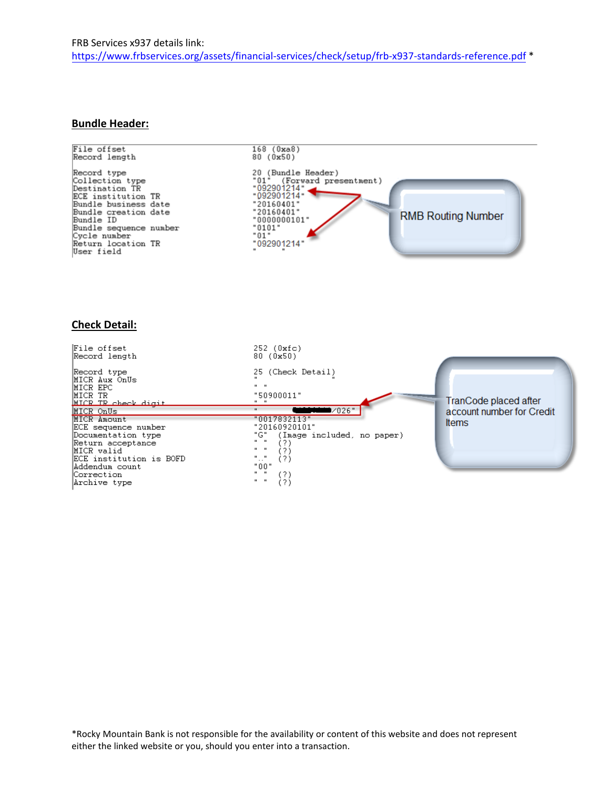#### **Bundle Header:**



# **Check Detail:**

| File offset<br> Record length                                                                                                                                            | $252$ ( $0$ xfc)<br>80 (0x50)                                                                                                                                    |                           |
|--------------------------------------------------------------------------------------------------------------------------------------------------------------------------|------------------------------------------------------------------------------------------------------------------------------------------------------------------|---------------------------|
| Record type<br>MICR Aux OnUs<br>MICR EPC<br>MICR TR<br>NICR TR check digit                                                                                               | 25 (Check Detail)<br>$\mathbf{u}$ $\mathbf{u}$<br>"50900011"                                                                                                     | TranCode placed after     |
| MICR OnUs                                                                                                                                                                | •⁄026"<br>$\mathbf{u}$                                                                                                                                           | account number for Credit |
| MICR Amount<br>ECE sequence number<br>Documentation type<br>Return acceptance<br>MICR valid<br>ECE institution is BOFD<br>Addendum count<br> Correction <br>Archive type | "0017832113"<br>"20160920101"<br>"G".<br>(Image included, no paper)<br>$\mathbf{u}$ $\mathbf{u}$<br>""<br>(?)<br>"00"<br>(?)<br>$\mathbf{u}$ $\mathbf{u}$<br>(?) | <b>Items</b>              |

 \*Rocky Mountain Bank is not responsible for the availability or content of this website and does not represent either the linked website or you, should you enter into a transaction.